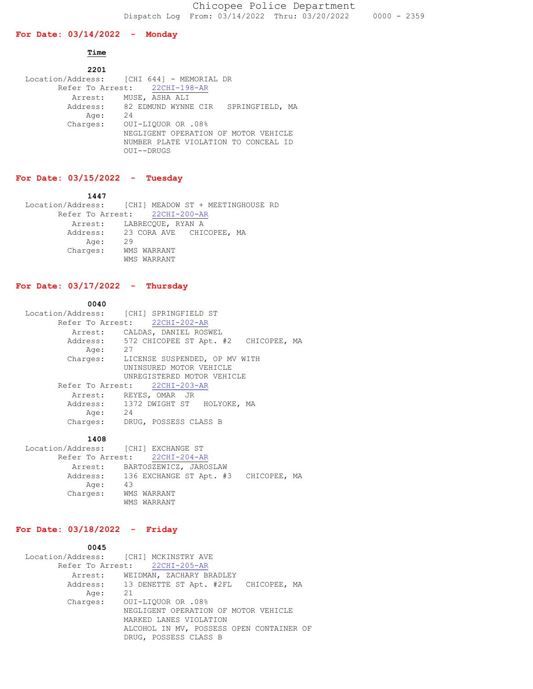### **For Date: 03/14/2022 - Monday**

# **Time**

| 2201     |                                                 |
|----------|-------------------------------------------------|
|          | Location/Address: [CHI 644] - MEMORIAL DR       |
|          | Refer To Arrest: 22CHI-198-AR                   |
|          | Arrest: MUSE, ASHA ALI                          |
|          | Address: 82 EDMUND WYNNE CIR<br>SPRINGFIELD, MA |
| Age:     | 24                                              |
| Charges: | 00I-LIOUOR OR .08%                              |
|          | NEGLIGENT OPERATION OF MOTOR VEHICLE            |
|          | NUMBER PLATE VIOLATION TO CONCEAL ID            |
|          | OUI--DRUGS                                      |

# **For Date: 03/15/2022 - Tuesday**

# **1447** Location/Address: [CHI] MEADOW ST + MEETINGHOUSE RD

|          | Refer To Arrest: 22CHI-200-AR     |
|----------|-----------------------------------|
|          | Arrest: LABRECOUE, RYAN A         |
|          | Address: 23 CORA AVE CHICOPEE, MA |
| Age:     | 29                                |
| Charges: | WMS WARRANT                       |
|          | WMS WARRANT                       |

# **For Date: 03/17/2022 - Thursday**

### **0040**

| Location/Address: [CHI] SPRINGFIELD ST |                                               |
|----------------------------------------|-----------------------------------------------|
|                                        | Refer To Arrest: 22CHI-202-AR                 |
|                                        | Arrest: CALDAS, DANIEL ROSWEL                 |
|                                        | Address: 572 CHICOPEE ST Apt. #2 CHICOPEE, MA |
| 27<br>Age:                             |                                               |
|                                        | Charges: LICENSE SUSPENDED, OP MV WITH        |
|                                        | UNINSURED MOTOR VEHICLE                       |
|                                        | UNREGISTERED MOTOR VEHICLE                    |
|                                        | Refer To Arrest: 22CHI-203-AR                 |
|                                        | Arrest: REYES, OMAR JR                        |
|                                        | Address: 1372 DWIGHT ST HOLYOKE, MA           |
| 24<br>Age:                             |                                               |
| Charges:                               | DRUG, POSSESS CLASS B                         |

#### **1408**

| Location/Address: [CHI] EXCHANGE ST |    |                                               |  |
|-------------------------------------|----|-----------------------------------------------|--|
|                                     |    | Refer To Arrest: 22CHI-204-AR                 |  |
|                                     |    | Arrest: BARTOSZEWICZ, JAROSLAW                |  |
|                                     |    | Address: 136 EXCHANGE ST Apt. #3 CHICOPEE, MA |  |
| Age:                                | 43 |                                               |  |
| Charges:                            |    | WMS WARRANT                                   |  |
|                                     |    | WMS WARRANT                                   |  |

## **For Date: 03/18/2022 - Friday**

| 0045     |                                               |
|----------|-----------------------------------------------|
|          | Location/Address: [CHI] MCKINSTRY AVE         |
|          | Refer To Arrest: 22CHI-205-AR                 |
| Arrest:  | WEIDMAN, ZACHARY BRADLEY                      |
|          | Address: 13 DENETTE ST Apt. #2FL CHICOPEE, MA |
| Age:     | 21                                            |
| Charges: | 0UI-LIOUOR OR .08%                            |
|          | NEGLIGENT OPERATION OF MOTOR VEHICLE          |
|          | MARKED LANES VIOLATION                        |
|          | ALCOHOL IN MV, POSSESS OPEN CONTAINER OF      |
|          | DRUG, POSSESS CLASS B                         |